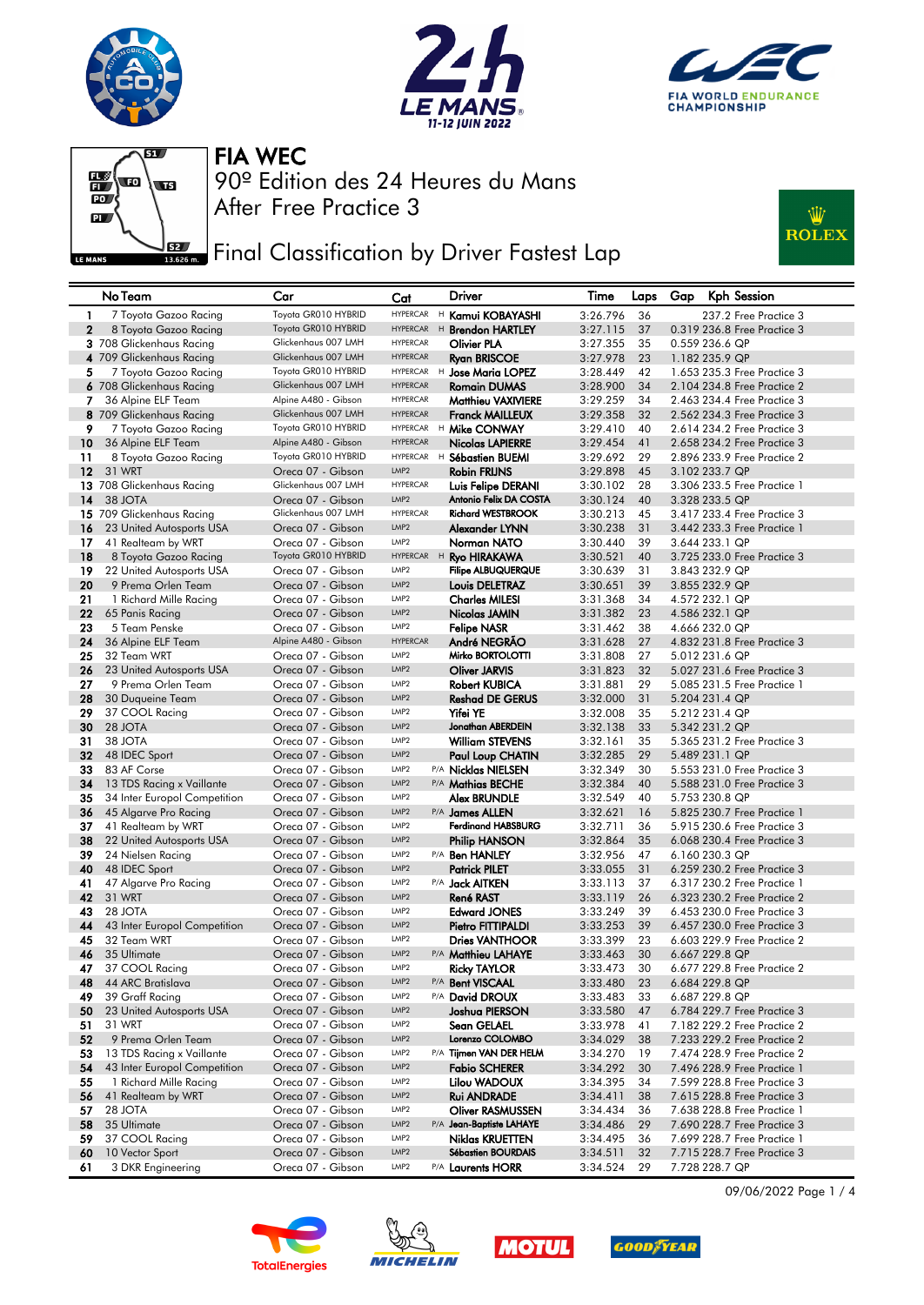







## **FEE** Final Classification by Driver Fastest Lap



|              | No Team                                 | Car                                      | Cat                                  |   | Driver                                              | Time                 | Laps     | Gap | <b>Kph Session</b>                                         |
|--------------|-----------------------------------------|------------------------------------------|--------------------------------------|---|-----------------------------------------------------|----------------------|----------|-----|------------------------------------------------------------|
| 1            | 7 Toyota Gazoo Racing                   | Toyota GR010 HYBRID                      | <b>HYPERCAR</b>                      |   | <sup>H</sup> Kamui KOBAYASHI                        | 3:26.796             | 36       |     | 237.2 Free Practice 3                                      |
| $\mathbf{2}$ | 8 Toyota Gazoo Racing                   | Toyota GR010 HYBRID                      | <b>HYPERCAR</b>                      |   | <sup>H</sup> Brendon HARTLEY                        | 3:27.115             | 37       |     | 0.319 236.8 Free Practice 3                                |
|              | 3 708 Glickenhaus Racing                | Glickenhaus 007 LMH                      | <b>HYPERCAR</b>                      |   | Olivier PLA                                         | 3:27.355             | 35       |     | 0.559 236.6 QP                                             |
|              | 4 709 Glickenhaus Racing                | Glickenhaus 007 LMH                      | <b>HYPERCAR</b>                      |   | <b>Ryan BRISCOE</b>                                 | 3:27.978             | 23       |     | 1.182 235.9 QP                                             |
| 5            | 7 Toyota Gazoo Racing                   | Toyota GR010 HYBRID                      | <b>HYPERCAR</b>                      |   | H Jose Maria LOPEZ                                  | 3:28.449             | 42       |     | 1.653 235.3 Free Practice 3                                |
|              | 6 708 Glickenhaus Racing                | Glickenhaus 007 LMH                      | <b>HYPERCAR</b>                      |   | <b>Romain DUMAS</b>                                 | 3:28.900             | 34       |     | 2.104 234.8 Free Practice 2                                |
| 7            | 36 Alpine ELF Team                      | Alpine A480 - Gibson                     | <b>HYPERCAR</b>                      |   | <b>Matthieu VAXIVIERE</b>                           | 3:29.259             | 34       |     | 2.463 234.4 Free Practice 3                                |
|              | 8 709 Glickenhaus Racing                | Glickenhaus 007 LMH                      | <b>HYPERCAR</b>                      |   | <b>Franck MAILLEUX</b>                              | 3:29.358             | 32       |     | 2.562 234.3 Free Practice 3                                |
| 9            | 7 Toyota Gazoo Racing                   | Toyota GR010 HYBRID                      | <b>HYPERCAR</b>                      |   | <sup>H</sup> Mike CONWAY                            | 3:29.410             | 40       |     | 2.614 234.2 Free Practice 3                                |
| 10           | 36 Alpine ELF Team                      | Alpine A480 - Gibson                     | <b>HYPERCAR</b>                      |   | Nicolas LAPIERRE                                    | 3:29.454             | 41       |     | 2.658 234.2 Free Practice 3                                |
| 11           | 8 Toyota Gazoo Racing                   | Toyota GR010 HYBRID                      | <b>HYPERCAR</b>                      | H | <b>Sébastien BUEMI</b>                              | 3:29.692             | 29       |     | 2,896 233,9 Free Practice 2                                |
| 12           | 31 WRT                                  | Oreca 07 - Gibson<br>Glickenhaus 007 LMH | LMP <sub>2</sub><br><b>HYPERCAR</b>  |   | <b>Robin FRIJNS</b>                                 | 3:29.898             | 45       |     | 3.102 233.7 QP                                             |
| 14           | 13 708 Glickenhaus Racing<br>38 JOTA    | Oreca 07 - Gibson                        | LMP <sub>2</sub>                     |   | <b>Luis Felipe DERANI</b><br>Antonio Felix DA COSTA | 3:30.102<br>3:30.124 | 28<br>40 |     | 3,306 233,5 Free Practice 1<br>3.328 233.5 QP              |
|              | 15 709 Glickenhaus Racing               | Glickenhaus 007 LMH                      | <b>HYPERCAR</b>                      |   | <b>Richard WESTBROOK</b>                            | 3:30.213             | 45       |     | 3.417 233.4 Free Practice 3                                |
| 16           | 23 United Autosports USA                | Oreca 07 - Gibson                        | LMP <sub>2</sub>                     |   | Alexander LYNN                                      | 3:30.238             | 31       |     | 3.442 233.3 Free Practice 1                                |
| 17           | 41 Realteam by WRT                      | Oreca 07 - Gibson                        | LMP <sub>2</sub>                     |   | Norman NATO                                         | 3:30.440             | 39       |     | 3.644 233.1 QP                                             |
| 18           | 8 Toyota Gazoo Racing                   | Toyota GR010 HYBRID                      | HYPERCAR H                           |   | <b>Ryo HIRAKAWA</b>                                 | 3:30.521             | 40       |     | 3.725 233.0 Free Practice 3                                |
| 19           | 22 United Autosports USA                | Oreca 07 - Gibson                        | LMP <sub>2</sub>                     |   | <b>Filipe ALBUQUERQUE</b>                           | 3:30.639             | 31       |     | 3.843 232.9 QP                                             |
| 20           | 9 Prema Orlen Team                      | Oreca 07 - Gibson                        | LMP <sub>2</sub>                     |   | Louis DELETRAZ                                      | 3:30.651             | 39       |     | 3.855 232.9 QP                                             |
| 21           | 1 Richard Mille Racing                  | Oreca 07 - Gibson                        | LMP2                                 |   | <b>Charles MILESI</b>                               | 3:31.368             | 34       |     | 4.572 232.1 QP                                             |
| 22           | 65 Panis Racing                         | Oreca 07 - Gibson                        | LMP <sub>2</sub>                     |   | Nicolas JAMIN                                       | 3:31.382             | 23       |     | 4.586 232.1 QP                                             |
| 23           | 5 Team Penske                           | Oreca 07 - Gibson                        | LMP2                                 |   | <b>Felipe NASR</b>                                  | 3:31.462             | 38       |     | 4.666 232.0 QP                                             |
| 24           | 36 Alpine ELF Team                      | Alpine A480 - Gibson                     | <b>HYPERCAR</b>                      |   | André NEGRAO                                        | 3:31.628             | 27       |     | 4.832 231.8 Free Practice 3                                |
| 25           | 32 Team WRT                             | Oreca 07 - Gibson                        | LMP2                                 |   | Mirko BORTOLOTTI                                    | 3:31.808             | 27       |     | 5.012 231.6 QP                                             |
| 26           | 23 United Autosports USA                | Oreca 07 - Gibson                        | LMP <sub>2</sub>                     |   | <b>Oliver JARVIS</b>                                | 3:31.823             | 32       |     | 5.027 231.6 Free Practice 3                                |
| 27           | 9 Prema Orlen Team                      | Oreca 07 - Gibson                        | LMP <sub>2</sub>                     |   | <b>Robert KUBICA</b>                                | 3:31.881             | 29       |     | 5.085 231.5 Free Practice 1                                |
| 28           | 30 Duaueine Team                        | Oreca 07 - Gibson                        | LMP <sub>2</sub>                     |   | <b>Reshad DE GERUS</b>                              | 3:32.000             | 31       |     | 5.204 231.4 QP                                             |
| 29           | 37 COOL Racing<br>28 JOTA               | Oreca 07 - Gibson                        | LMP2<br>LMP <sub>2</sub>             |   | <b>Yifei YE</b><br>Jonathan ABERDEIN                | 3:32.008             | 35       |     | 5.212 231.4 QP                                             |
| 30<br>31     | 38 JOTA                                 | Oreca 07 - Gibson<br>Oreca 07 - Gibson   | LMP2                                 |   | <b>William STEVENS</b>                              | 3:32.138<br>3:32.161 | 33<br>35 |     | 5.342 231.2 QP<br>5.365 231.2 Free Practice 3              |
| 32           | 48 IDEC Sport                           | Oreca 07 - Gibson                        | LMP <sub>2</sub>                     |   | Paul Loup CHATIN                                    | 3:32.285             | 29       |     | 5.489 231.1 QP                                             |
| 33           | 83 AF Corse                             | Oreca 07 - Gibson                        | LMP2                                 |   | P/A Nicklas NIELSEN                                 | 3:32.349             | 30       |     | 5.553 231.0 Free Practice 3                                |
| 34           | 13 TDS Racing x Vaillante               | Oreca 07 - Gibson                        | LMP <sub>2</sub>                     |   | P/A Mathias BECHE                                   | 3:32.384             | 40       |     | 5.588 231.0 Free Practice 3                                |
| 35           | 34 Inter Europol Competition            | Oreca 07 - Gibson                        | LMP2                                 |   | <b>Alex BRUNDLE</b>                                 | 3:32.549             | 40       |     | 5.753 230.8 QP                                             |
| 36           | 45 Algarve Pro Racing                   | Oreca 07 - Gibson                        | LMP <sub>2</sub>                     |   | P/A James ALLEN                                     | 3:32.621             | 16       |     | 5.825 230.7 Free Practice 1                                |
| 37           | 41 Realteam by WRT                      | Oreca 07 - Gibson                        | LMP <sub>2</sub>                     |   | <b>Ferdinand HABSBURG</b>                           | 3:32.711             | 36       |     | 5.915 230.6 Free Practice 3                                |
| 38           | 22 United Autosports USA                | Oreca 07 - Gibson                        | LMP <sub>2</sub>                     |   | <b>Philip HANSON</b>                                | 3:32.864             | 35       |     | 6.068 230.4 Free Practice 3                                |
| 39           | 24 Nielsen Racing                       | Oreca 07 - Gibson                        | LMP2                                 |   | P/A <b>Ben HANLEY</b>                               | 3:32.956             | 47       |     | 6.160 230.3 QP                                             |
| 40           | 48 IDEC Sport                           | Oreca 07 - Gibson                        | LMP <sub>2</sub>                     |   | <b>Patrick PILET</b>                                | 3:33.055             | 31       |     | 6.259 230.2 Free Practice 3                                |
| 41           | 47 Algarve Pro Racing                   | Oreca 07 - Gibson                        | LMP2                                 |   | P/A <b>Jack AITKEN</b>                              | 3:33.113             | 37       |     | 6.317 230.2 Free Practice 1                                |
| 42           | 31 WRT                                  | Oreca 07 - Gibson                        | LMP <sub>2</sub>                     |   | <b>René RAST</b>                                    | 3:33.119             | 26       |     | 6.323 230.2 Free Practice 2                                |
| 43<br>44     | 28 JOTA<br>43 Inter Europol Competition | Oreca 07 - Gibson<br>Oreca 07 - Gibson   | LMP2<br>LMP <sub>2</sub>             |   | <b>Edward JONES</b>                                 | 3:33.249<br>3:33.253 | 39<br>39 |     | 6.453 230.0 Free Practice 3<br>6.457 230.0 Free Practice 3 |
| 45           | 32 Team WRT                             | Oreca 07 - Gibson                        | LMP2                                 |   | Pietro FITTIPALDI<br><b>Dries VANTHOOR</b>          | 3:33.399             | 23       |     | 6.603 229.9 Free Practice 2                                |
| 46           | 35 Ultimate                             | Oreca 07 - Gibson                        | LMP <sub>2</sub>                     |   | P/A Matthieu LAHAYE                                 | 3:33.463             | 30       |     | 6.667 229.8 QP                                             |
| 47           | 37 COOL Racing                          | Oreca 07 - Gibson                        | LMP2                                 |   | <b>Ricky TAYLOR</b>                                 | 3:33.473             | 30       |     | 6.677 229.8 Free Practice 2                                |
| 48           | 44 ARC Bratislava                       | Oreca 07 - Gibson                        | LMP <sub>2</sub>                     |   | P/A <b>Bent VISCAAL</b>                             | 3:33.480             | 23       |     | 6.684 229.8 QP                                             |
| 49           | 39 Graff Racing                         | Oreca 07 - Gibson                        | LMP <sub>2</sub>                     |   | P/A David DROUX                                     | 3:33.483             | 33       |     | 6.687 229.8 QP                                             |
| 50           | 23 United Autosports USA                | Oreca 07 - Gibson                        | LMP <sub>2</sub>                     |   | Joshua PIERSON                                      | 3:33.580             | 47       |     | 6.784 229.7 Free Practice 3                                |
| 51           | 31 WRT                                  | Oreca 07 - Gibson                        | LMP2                                 |   | Sean GELAEL                                         | 3:33.978             | 41       |     | 7.182 229.2 Free Practice 2                                |
| 52           | 9 Prema Orlen Team                      | Oreca 07 - Gibson                        | LMP <sub>2</sub>                     |   | Lorenzo COLOMBO                                     | 3:34.029             | 38       |     | 7.233 229.2 Free Practice 2                                |
| 53           | 13 TDS Racing x Vaillante               | Oreca 07 - Gibson                        | LMP2                                 |   | P/A Tijmen VAN DER HELM                             | 3:34.270             | 19       |     | 7.474 228.9 Free Practice 2                                |
| 54           | 43 Inter Europol Competition            | Oreca 07 - Gibson                        | LMP <sub>2</sub>                     |   | <b>Fabio SCHERER</b>                                | 3:34.292             | 30       |     | 7.496 228.9 Free Practice 1                                |
| 55           | 1 Richard Mille Racing                  | Oreca 07 - Gibson                        | LMP2                                 |   | Lilou WADOUX                                        | 3:34.395             | 34       |     | 7.599 228.8 Free Practice 3                                |
| 56           | 41 Realteam by WRT                      | Oreca 07 - Gibson                        | LMP <sub>2</sub>                     |   | <b>Rui ANDRADE</b>                                  | 3:34.411             | 38       |     | 7.615 228.8 Free Practice 3                                |
| 57           | 28 JOTA                                 | Oreca 07 - Gibson                        | LMP2                                 |   | <b>Oliver RASMUSSEN</b>                             | 3:34.434             | 36       |     | 7.638 228.8 Free Practice 1                                |
| 58           | 35 Ultimate<br>37 COOL Racing           | Oreca 07 - Gibson<br>Oreca 07 - Gibson   | LMP <sub>2</sub><br>LMP <sub>2</sub> |   | P/A Jean-Baptiste LAHAYE<br><b>Niklas KRUETTEN</b>  | 3:34.486<br>3:34.495 | 29       |     | 7.690 228.7 Free Practice 3<br>7.699 228.7 Free Practice 1 |
| 59<br>60     | 10 Vector Sport                         | Oreca 07 - Gibson                        | LMP <sub>2</sub>                     |   | Sébastien BOURDAIS                                  | 3:34.511             | 36<br>32 |     | 7.715 228.7 Free Practice 3                                |
| 61           | 3 DKR Engineering                       | Oreca 07 - Gibson                        | LMP2                                 |   | P/A Laurents HORR                                   | 3:34.524             | 29       |     | 7.728 228.7 QP                                             |
|              |                                         |                                          |                                      |   |                                                     |                      |          |     |                                                            |









09/06/2022 Page 1 / 4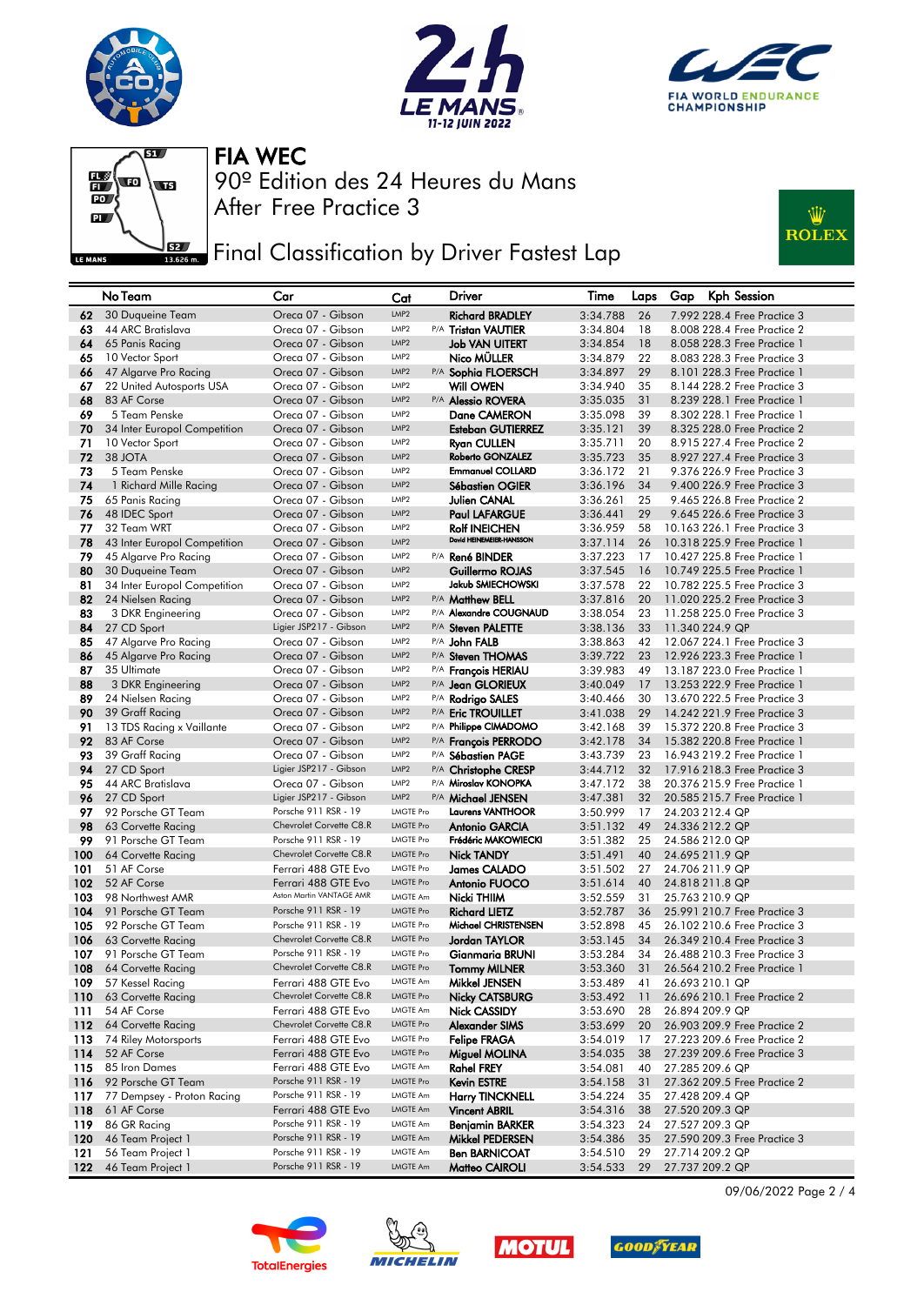







## **JEE** Final Classification by Driver Fastest Lap



|            | No Team                                 | Car                                         | Cat                                  | Driver                                        | Time                 | Laps     | Gap | Kph Session                                                |
|------------|-----------------------------------------|---------------------------------------------|--------------------------------------|-----------------------------------------------|----------------------|----------|-----|------------------------------------------------------------|
| 62         | 30 Duqueine Team                        | Oreca 07 - Gibson                           | LMP <sub>2</sub>                     | <b>Richard BRADLEY</b>                        | 3:34.788             | 26       |     | 7.992 228.4 Free Practice 3                                |
| 63         | 44 ARC Bratislava                       | Oreca 07 - Gibson                           | LMP <sub>2</sub>                     | P/A Tristan VAUTIER                           | 3:34.804             | 18       |     | 8.008 228.4 Free Practice 2                                |
| 64         | 65 Panis Racing                         | Oreca 07 - Gibson                           | LMP <sub>2</sub>                     | <b>Job VAN UITERT</b>                         | 3:34.854             | 18       |     | 8.058 228.3 Free Practice 1                                |
| 65         | 10 Vector Sport                         | Oreca 07 - Gibson                           | LMP <sub>2</sub>                     | Nico MÜLLER                                   | 3:34.879             | 22       |     | 8.083 228.3 Free Practice 3                                |
| 66         | 47 Algarve Pro Racing                   | Oreca 07 - Gibson                           | LMP <sub>2</sub>                     | P/A Sophia FLOERSCH                           | 3:34.897             | 29       |     | 8.101 228.3 Free Practice 1                                |
| 67         | 22 United Autosports USA                | Oreca 07 - Gibson                           | LMP <sub>2</sub>                     | <b>Will OWEN</b>                              | 3:34.940             | 35       |     | 8.144 228.2 Free Practice 3                                |
| 68         | 83 AF Corse                             | Oreca 07 - Gibson                           | LMP <sub>2</sub>                     | P/A Alessio ROVERA                            | 3:35.035             | 31       |     | 8.239 228.1 Free Practice 1                                |
| 69         | 5 Team Penske                           | Oreca 07 - Gibson                           | LMP <sub>2</sub>                     | Dane CAMERON                                  | 3:35.098             | 39       |     | 8.302 228.1 Free Practice 1                                |
| 70         | 34 Inter Europol Competition            | Oreca 07 - Gibson                           | LMP <sub>2</sub><br>LMP <sub>2</sub> | <b>Esteban GUTIERREZ</b>                      | 3:35.121             | 39       |     | 8.325 228.0 Free Practice 2                                |
| 71         | 10 Vector Sport                         | Oreca 07 - Gibson                           | LMP <sub>2</sub>                     | <b>Ryan CULLEN</b><br><b>Roberto GONZALEZ</b> | 3:35.711             | 20       |     | 8.915 227.4 Free Practice 2                                |
| 72         | 38 JOTA                                 | Oreca 07 - Gibson                           | LMP <sub>2</sub>                     | <b>Emmanuel COLLARD</b>                       | 3:35.723             | 35<br>21 |     | 8.927 227.4 Free Practice 3                                |
| 73<br>74   | 5 Team Penske<br>1 Richard Mille Racing | Oreca 07 - Gibson<br>Oreca 07 - Gibson      | LMP <sub>2</sub>                     | <b>Sébastien OGIER</b>                        | 3:36.172<br>3:36.196 | 34       |     | 9.376 226.9 Free Practice 3<br>9.400 226.9 Free Practice 3 |
| 75         | 65 Panis Racing                         | Oreca 07 - Gibson                           | LMP <sub>2</sub>                     | Julien CANAL                                  | 3:36.261             | 25       |     | 9.465 226.8 Free Practice 2                                |
| 76         | 48 IDEC Sport                           | Oreca 07 - Gibson                           | LMP <sub>2</sub>                     | <b>Paul LAFARGUE</b>                          | 3:36.441             | 29       |     | 9.645 226.6 Free Practice 3                                |
| 77         | 32 Team WRT                             | Oreca 07 - Gibson                           | LMP <sub>2</sub>                     | <b>Rolf INEICHEN</b>                          | 3:36.959             | 58       |     | 10.163 226.1 Free Practice 3                               |
| 78         | 43 Inter Europol Competition            | Oreca 07 - Gibson                           | LMP <sub>2</sub>                     | David HEINEMEIER-HANSSON                      | 3:37.114             | 26       |     | 10.318 225.9 Free Practice 1                               |
| 79         | 45 Algarve Pro Racing                   | Oreca 07 - Gibson                           | LMP <sub>2</sub>                     | P/A René BINDER                               | 3:37.223             | 17       |     | 10.427 225.8 Free Practice 1                               |
| 80         | 30 Duqueine Team                        | Oreca 07 - Gibson                           | LMP <sub>2</sub>                     | Guillermo ROJAS                               | 3:37.545             | 16       |     | 10.749 225.5 Free Practice 1                               |
| 81         | 34 Inter Europol Competition            | Oreca 07 - Gibson                           | LMP <sub>2</sub>                     | Jakub SMIECHOWSKI                             | 3:37.578             | 22       |     | 10.782 225.5 Free Practice 3                               |
| 82         | 24 Nielsen Racing                       | Oreca 07 - Gibson                           | LMP <sub>2</sub>                     | P/A Matthew BELL                              | 3:37.816             | 20       |     | 11.020 225.2 Free Practice 3                               |
| 83         | 3 DKR Engineering                       | Oreca 07 - Gibson                           | LMP <sub>2</sub>                     | P/A Alexandre COUGNAUD                        | 3:38.054             | 23       |     | 11.258 225.0 Free Practice 3                               |
| 84         | 27 CD Sport                             | Ligier JSP217 - Gibson                      | LMP <sub>2</sub>                     | P/A Steven PALETTE                            | 3:38.136             | 33       |     | 11.340 224.9 QP                                            |
| 85         | 47 Algarve Pro Racing                   | Oreca 07 - Gibson                           | LMP <sub>2</sub>                     | P/A John FALB                                 | 3:38.863             | 42       |     | 12.067 224.1 Free Practice 3                               |
| 86         | 45 Algarve Pro Racing                   | Oreca 07 - Gibson                           | LMP <sub>2</sub>                     | P/A Steven THOMAS                             | 3:39.722             | 23       |     | 12.926 223.3 Free Practice 1                               |
| 87         | 35 Ultimate                             | Oreca 07 - Gibson                           | LMP <sub>2</sub>                     | P/A François HERIAU                           | 3:39.983             | 49       |     | 13.187 223.0 Free Practice 1                               |
| 88         | 3 DKR Engineering                       | Oreca 07 - Gibson                           | LMP <sub>2</sub>                     | P/A Jean GLORIEUX                             | 3:40.049             | 17       |     | 13.253 222.9 Free Practice 1                               |
| 89         | 24 Nielsen Racing                       | Oreca 07 - Gibson                           | LMP <sub>2</sub>                     | P/A Rodrigo SALES                             | 3:40.466             | 30       |     | 13.670 222.5 Free Practice 3                               |
| 90         | 39 Graff Racing                         | Oreca 07 - Gibson                           | LMP <sub>2</sub>                     | P/A Eric TROUILLET                            | 3:41.038             | 29       |     | 14.242 221.9 Free Practice 3                               |
| 91         | 13 TDS Racing x Vaillante               | Oreca 07 - Gibson                           | LMP <sub>2</sub>                     | P/A Philippe CIMADOMO                         | 3:42.168             | 39       |     | 15,372 220.8 Free Practice 3                               |
| 92         | 83 AF Corse                             | Oreca 07 - Gibson                           | LMP <sub>2</sub>                     | P/A François PERRODO                          | 3:42.178             | 34       |     | 15.382 220.8 Free Practice 1                               |
| 93         | 39 Graff Racing                         | Oreca 07 - Gibson                           | LMP <sub>2</sub>                     | P/A Sébastien PAGE                            | 3:43.739             | 23       |     | 16.943 219.2 Free Practice 1                               |
| 94         | 27 CD Sport                             | Ligier JSP217 - Gibson                      | LMP <sub>2</sub><br>LMP <sub>2</sub> | P/A Christophe CRESP<br>P/A Miroslav KONOPKA  | 3:44.712             | 32       |     | 17.916 218.3 Free Practice 3                               |
| 95<br>96   | 44 ARC Bratislava<br>27 CD Sport        | Oreca 07 - Gibson<br>Ligier JSP217 - Gibson | LMP <sub>2</sub>                     |                                               | 3:47.172             | 38<br>32 |     | 20,376 215,9 Free Practice 1                               |
| 97         | 92 Porsche GT Team                      | Porsche 911 RSR - 19                        | <b>LMGTE Pro</b>                     | P/A Michael JENSEN<br><b>Laurens VANTHOOR</b> | 3:47.381<br>3:50.999 | 17       |     | 20.585 215.7 Free Practice 1<br>24.203 212.4 QP            |
| 98         | 63 Corvette Racing                      | Chevrolet Corvette C8.R                     | <b>LMGTE Pro</b>                     | <b>Antonio GARCIA</b>                         | 3:51.132             | 49       |     | 24.336 212.2 QP                                            |
| 99         | 91 Porsche GT Team                      | Porsche 911 RSR - 19                        | <b>LMGTE Pro</b>                     | Frédéric MAKOWIECKI                           | 3:51.382             | 25       |     | 24.586 212.0 QP                                            |
| 100        | 64 Corvette Racing                      | Chevrolet Corvette C8.R                     | <b>LMGTE Pro</b>                     | <b>Nick TANDY</b>                             | 3:51.491             | 40       |     | 24.695 211.9 QP                                            |
| 101        | 51 AF Corse                             | Ferrari 488 GTE Evo                         | <b>LMGTE Pro</b>                     | James CALADO                                  | 3:51.502             | 27       |     | 24.706 211.9 QP                                            |
| 102        | 52 AF Corse                             | Ferrari 488 GTE Evo                         | <b>LMGTE Pro</b>                     | <b>Antonio FUOCO</b>                          | 3:51.614             | 40       |     | 24.818 211.8 QP                                            |
| 103        | 98 Northwest AMR                        | Aston Martin VANTAGE AMR                    | LMGTE Am                             | Nicki THIIM                                   | 3:52.559             | 31       |     | 25.763 210.9 QP                                            |
| 104        | 91 Porsche GT Team                      | Porsche 911 RSR - 19                        | <b>LMGTE Pro</b>                     | <b>Richard LIETZ</b>                          | 3:52.787             | 36       |     | 25.991 210.7 Free Practice 3                               |
| 105        | 92 Porsche GT Team                      | Porsche 911 RSR - 19                        | <b>LMGTE Pro</b>                     | Michael CHRISTENSEN                           | 3:52.898             | 45       |     | 26.102 210.6 Free Practice 3                               |
| 106        | 63 Corvette Racing                      | Chevrolet Corvette C8.R                     | <b>LMGTE Pro</b>                     | Jordan TAYLOR                                 | 3:53.145             | 34       |     | 26.349 210.4 Free Practice 3                               |
| 107        | 91 Porsche GT Team                      | Porsche 911 RSR - 19                        | <b>LMGTE Pro</b>                     | <b>Gianmaria BRUNI</b>                        | 3:53.284             | 34       |     | 26,488 210,3 Free Practice 3                               |
| 108        | 64 Corvette Racing                      | Chevrolet Corvette C8.R                     | <b>LMGTE Pro</b>                     | <b>Tommy MILNER</b>                           | 3:53.360             | 31       |     | 26.564 210.2 Free Practice 1                               |
| 109        | 57 Kessel Racing                        | Ferrari 488 GTE Evo                         | <b>LMGTE Am</b>                      | Mikkel JENSEN                                 | 3:53.489             | 41       |     | 26.693 210.1 QP                                            |
| 110        | 63 Corvette Racing                      | Chevrolet Corvette C8.R                     | <b>LMGTE Pro</b>                     | <b>Nicky CATSBURG</b>                         | 3:53.492             | 11       |     | 26.696 210.1 Free Practice 2                               |
| 111        | 54 AF Corse                             | Ferrari 488 GTE Evo                         | <b>LMGTE Am</b>                      | Nick CASSIDY                                  | 3:53.690             | 28       |     | 26.894 209.9 QP                                            |
| 112        | 64 Corvette Racing                      | Chevrolet Corvette C8.R                     | <b>LMGTE Pro</b>                     | Alexander SIMS                                | 3:53.699             | 20       |     | 26.903 209.9 Free Practice 2                               |
| 113        | 74 Riley Motorsports                    | Ferrari 488 GTE Evo                         | <b>LMGTE Pro</b>                     | <b>Felipe FRAGA</b>                           | 3:54.019             | 17       |     | 27.223 209.6 Free Practice 2                               |
| 114<br>115 | 52 AF Corse<br>85 Iron Dames            | Ferrari 488 GTE Evo<br>Ferrari 488 GTE Evo  | <b>LMGTE Pro</b><br><b>LMGTE Am</b>  | Miguel MOLINA<br><b>Rahel FREY</b>            | 3:54.035<br>3:54.081 | 38<br>40 |     | 27.239 209.6 Free Practice 3<br>27.285 209.6 QP            |
| 116        | 92 Porsche GT Team                      | Porsche 911 RSR - 19                        | <b>LMGTE Pro</b>                     | Kevin ESTRE                                   | 3:54.158             | 31       |     | 27.362 209.5 Free Practice 2                               |
| 117        | 77 Dempsey - Proton Racing              | Porsche 911 RSR - 19                        | <b>LMGTE Am</b>                      | <b>Harry TINCKNELL</b>                        | 3:54.224             | 35       |     | 27.428 209.4 QP                                            |
| 118        | 61 AF Corse                             | Ferrari 488 GTE Evo                         | <b>LMGTE Am</b>                      | <b>Vincent ABRIL</b>                          | 3:54.316             | 38       |     | 27.520 209.3 QP                                            |
| 119        | 86 GR Racing                            | Porsche 911 RSR - 19                        | <b>LMGTE Am</b>                      | Benjamin BARKER                               | 3:54.323             | 24       |     | 27.527 209.3 QP                                            |
| 120        | 46 Team Project 1                       | Porsche 911 RSR - 19                        | <b>LMGTE Am</b>                      | Mikkel PEDERSEN                               | 3:54.386             | 35       |     | 27.590 209.3 Free Practice 3                               |
| 121        | 56 Team Project 1                       | Porsche 911 RSR - 19                        | <b>LMGTE Am</b>                      | Ben BARNICOAT                                 | 3:54.510             | 29       |     | 27.714 209.2 QP                                            |
| 122        | 46 Team Project 1                       | Porsche 911 RSR - 19                        | LMGTE Am                             | Matteo CAIROLI                                | 3:54.533             | 29       |     | 27.737 209.2 QP                                            |
|            |                                         |                                             |                                      |                                               |                      |          |     |                                                            |









09/06/2022 Page 2 / 4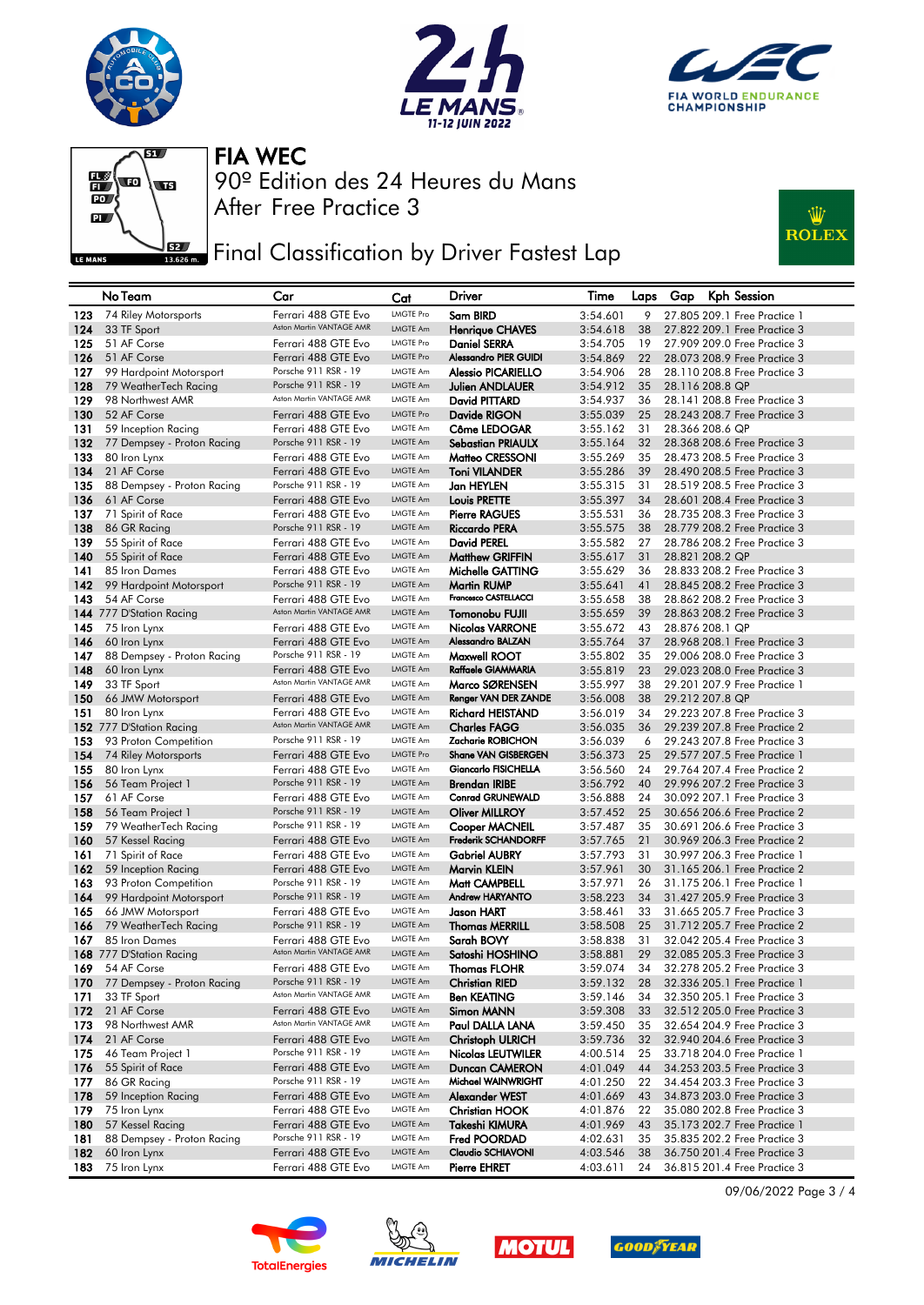







## **JEE** Final Classification by Driver Fastest Lap



|            | No Team                                    | Car                                          | Cat                  | Driver                              | Time                 | Laps     | Kph Session<br>Gap                                           |
|------------|--------------------------------------------|----------------------------------------------|----------------------|-------------------------------------|----------------------|----------|--------------------------------------------------------------|
| 123        | 74 Riley Motorsports                       | Ferrari 488 GTE Evo                          | <b>LMGTE Pro</b>     | Sam BIRD                            | 3:54.601             | 9        | 27,805 209,1 Free Practice 1                                 |
| 124        | 33 TF Sport                                | Aston Martin VANTAGE AMR                     | <b>LMGTE Am</b>      | <b>Henriaue CHAVES</b>              | 3:54.618             | 38       | 27.822 209.1 Free Practice 3                                 |
| 125        | 51 AF Corse                                | Ferrari 488 GTE Evo                          | <b>LMGTE Pro</b>     | <b>Daniel SERRA</b>                 | 3:54.705             | 19       | 27.909 209.0 Free Practice 3                                 |
| 126        | 51 AF Corse                                | Ferrari 488 GTE Evo                          | <b>LMGTE Pro</b>     | <b>Alessandro PIER GUIDI</b>        | 3:54.869             | 22       | 28.073 208.9 Free Practice 3                                 |
| 127        | 99 Hardpoint Motorsport                    | Porsche 911 RSR - 19                         | LMGTE Am             | Alessio PICARIELLO                  | 3:54.906             | 28       | 28.110 208.8 Free Practice 3                                 |
| 128        | 79 WeatherTech Racing                      | Porsche 911 RSR - 19                         | LMGTE Am             | <b>Julien ANDLAUER</b>              | 3:54.912             | 35       | 28.116 208.8 QP                                              |
| 129        | 98 Northwest AMR                           | Aston Martin VANTAGE AMR                     | LMGTE Am             | David PITTARD                       | 3:54.937             | 36       | 28.141 208.8 Free Practice 3                                 |
| 130        | 52 AF Corse                                | Ferrari 488 GTE Evo                          | <b>LMGTE Pro</b>     | Davide RIGON                        | 3:55.039             | 25       | 28.243 208.7 Free Practice 3                                 |
| 131        | 59 Inception Racing                        | Ferrari 488 GTE Evo                          | LMGTE Am             | Côme LEDOGAR                        | 3:55.162             | 31       | 28.366 208.6 QP                                              |
| 132        | 77 Dempsey - Proton Racing                 | Porsche 911 RSR - 19                         | <b>LMGTE Am</b>      | <b>Sebastian PRIAULX</b>            | 3:55.164             | 32       | 28.368 208.6 Free Practice 3                                 |
| 133        | 80 Iron Lynx                               | Ferrari 488 GTE Evo                          | LMGTE Am             | Matteo CRESSONI                     | 3:55.269             | 35       | 28.473 208.5 Free Practice 3                                 |
| 134        | 21 AF Corse                                | Ferrari 488 GTE Evo                          | LMGTE Am             | <b>Toni VILANDER</b>                | 3:55.286             | 39       | 28.490 208.5 Free Practice 3                                 |
| 135        | 88 Dempsey - Proton Racing                 | Porsche 911 RSR - 19                         | <b>LMGTE Am</b>      | Jan HEYLEN                          | 3:55.315             | 31       | 28.519 208.5 Free Practice 3                                 |
| 136        | 61 AF Corse                                | Ferrari 488 GTE Evo                          | LMGTE Am             | <b>Louis PRETTE</b>                 | 3:55.397             | 34       | 28.601 208.4 Free Practice 3                                 |
| 137        | 71 Spirit of Race                          | Ferrari 488 GTE Evo<br>Porsche 911 RSR - 19  | <b>LMGTE Am</b>      | <b>Pierre RAGUES</b>                | 3:55.531             | 36       | 28.735 208.3 Free Practice 3                                 |
| 138        | 86 GR Racing                               |                                              | LMGTE Am<br>LMGTE Am | <b>Riccardo PERA</b>                | 3:55.575             | 38       | 28.779 208.2 Free Practice 3                                 |
| 139        | 55 Spirit of Race                          | Ferrari 488 GTE Evo                          | LMGTE Am             | <b>David PEREL</b>                  | 3:55.582             | 27       | 28,786 208,2 Free Practice 3<br>28.821 208.2 QP              |
| 140<br>141 | 55 Spirit of Race<br>85 Iron Dames         | Ferrari 488 GTE Evo<br>Ferrari 488 GTE Evo   | LMGTE Am             | <b>Matthew GRIFFIN</b>              | 3:55.617<br>3:55.629 | 31<br>36 | 28,833 208,2 Free Practice 3                                 |
| 142        | 99 Hardpoint Motorsport                    | Porsche 911 RSR - 19                         | LMGTE Am             | Michelle GATTING<br>Martin RUMP     | 3:55.641             | 41       | 28.845 208.2 Free Practice 3                                 |
| 143        | 54 AF Corse                                | Ferrari 488 GTE Evo                          | <b>LMGTE Am</b>      | Francesco CASTELLACCI               | 3:55.658             | 38       | 28.862 208.2 Free Practice 3                                 |
|            | 144 777 D'Station Racing                   | Aston Martin VANTAGE AMR                     | LMGTE Am             | <b>Tomonobu FUJII</b>               | 3:55.659             | 39       | 28.863 208.2 Free Practice 3                                 |
| 145        | 75 Iron Lynx                               | Ferrari 488 GTE Evo                          | LMGTE Am             | <b>Nicolas VARRONE</b>              | 3:55.672             | 43       | 28.876 208.1 QP                                              |
| 146        | 60 Iron Lynx                               | Ferrari 488 GTE Evo                          | LMGTE Am             | Alessandro BALZAN                   | 3:55.764             | 37       | 28.968 208.1 Free Practice 3                                 |
| 147        | 88 Dempsey - Proton Racing                 | Porsche 911 RSR - 19                         | LMGTE Am             | Maxwell ROOT                        | 3:55.802             | 35       | 29.006 208.0 Free Practice 3                                 |
| 148        | 60 Iron Lynx                               | Ferrari 488 GTE Evo                          | LMGTE Am             | Raffaele GIAMMARIA                  | 3:55.819             | 23       | 29.023 208.0 Free Practice 3                                 |
| 149        | 33 TF Sport                                | Aston Martin VANTAGE AMR                     | LMGTE Am             | Marco SØRENSEN                      | 3:55.997             | 38       | 29,201 207.9 Free Practice 1                                 |
| 150        | 66 JMW Motorsport                          | Ferrari 488 GTE Evo                          | LMGTE Am             | Renger VAN DER ZANDE                | 3:56.008             | 38       | 29.212 207.8 QP                                              |
| 151        | 80 Iron Lynx                               | Ferrari 488 GTE Evo                          | <b>LMGTE Am</b>      | <b>Richard HEISTAND</b>             | 3:56.019             | 34       | 29,223 207.8 Free Practice 3                                 |
|            | 152 777 D'Station Racing                   | Aston Martin VANTAGE AMR                     | LMGTE Am             | <b>Charles FAGG</b>                 | 3:56.035             | 36       | 29.239 207.8 Free Practice 2                                 |
| 153        | 93 Proton Competition                      | Porsche 911 RSR - 19                         | <b>LMGTE Am</b>      | Zacharie ROBICHON                   | 3:56.039             | 6        | 29,243 207.8 Free Practice 3                                 |
| 154        | 74 Riley Motorsports                       | Ferrari 488 GTE Evo                          | <b>LMGTE Pro</b>     | <b>Shane VAN GISBERGEN</b>          | 3:56.373             | 25       | 29.577 207.5 Free Practice 1                                 |
| 155        | 80 Iron Lynx                               | Ferrari 488 GTE Evo                          | <b>LMGTE Am</b>      | Giancarlo FISICHELLA                | 3:56.560             | 24       | 29.764 207.4 Free Practice 2                                 |
| 156        | 56 Team Project 1                          | Porsche 911 RSR - 19                         | LMGTE Am             | <b>Brendan IRIBE</b>                | 3:56.792             | 40       | 29.996 207.2 Free Practice 3                                 |
| 157        | 61 AF Corse                                | Ferrari 488 GTE Evo                          | LMGTE Am             | <b>Conrad GRUNEWALD</b>             | 3:56.888             | 24       | 30.092 207.1 Free Practice 3                                 |
| 158        | 56 Team Project 1                          | Porsche 911 RSR - 19                         | <b>LMGTE Am</b>      | <b>Oliver MILLROY</b>               | 3:57.452             | 25       | 30.656 206.6 Free Practice 2                                 |
| 159        | 79 WeatherTech Racing                      | Porsche 911 RSR - 19                         | LMGTE Am             | <b>Cooper MACNEIL</b>               | 3:57.487             | 35       | 30.691 206.6 Free Practice 3                                 |
| 160        | 57 Kessel Racing                           | Ferrari 488 GTE Evo                          | <b>LMGTE Am</b>      | Frederik SCHANDORFF                 | 3:57.765             | 21       | 30.969 206.3 Free Practice 2                                 |
| 161        | 71 Spirit of Race                          | Ferrari 488 GTE Evo                          | <b>LMGTE Am</b>      | <b>Gabriel AUBRY</b>                | 3:57.793             | 31       | 30.997 206.3 Free Practice 1                                 |
| 162        | 59 Inception Racing                        | Ferrari 488 GTE Evo                          | <b>LMGTE Am</b>      | Marvin KLEIN                        | 3:57.961             | 30       | 31.165 206.1 Free Practice 2                                 |
| 163        | 93 Proton Competition                      | Porsche 911 RSR - 19<br>Porsche 911 RSR - 19 | LMGTE Am<br>LMGTE Am | Matt CAMPBELL                       | 3:57.971             | 26       | 31.175 206.1 Free Practice 1                                 |
| 164        | 99 Hardpoint Motorsport                    | Ferrari 488 GTE Evo                          | LMGTE Am             | <b>Andrew HARYANTO</b>              | 3:58.223             | 34       | 31.427 205.9 Free Practice 3<br>31.665 205.7 Free Practice 3 |
| 165<br>166 | 66 JMW Motorsport<br>79 WeatherTech Racing | Porsche 911 RSR - 19                         | LMGTE Am             | Jason HART<br><b>Thomas MERRILL</b> | 3:58.461<br>3:58.508 | 33<br>25 | 31.712 205.7 Free Practice 2                                 |
| 167        | 85 Iron Dames                              | Ferrari 488 GTE Evo                          | LMGTE Am             | Sarah BOVY                          | 3:58.838             | 31       | 32.042 205.4 Free Practice 3                                 |
|            | 168 777 D'Station Racing                   | Aston Martin VANTAGE AMR                     | LMGTE Am             | Satoshi HOSHINO                     | 3:58.881             | 29       | 32.085 205.3 Free Practice 3                                 |
| 169        | 54 AF Corse                                | Ferrari 488 GTE Evo                          | LMGTE Am             | <b>Thomas FLOHR</b>                 | 3:59.074             | 34       | 32,278 205,2 Free Practice 3                                 |
| 170        | 77 Dempsey - Proton Racing                 | Porsche 911 RSR - 19                         | LMGTE Am             | Christian RIED                      | 3:59.132             | 28       | 32.336 205.1 Free Practice 1                                 |
| 171        | 33 TF Sport                                | Aston Martin VANTAGE AMR                     | LMGTE Am             | <b>Ben KEATING</b>                  | 3:59.146             | 34       | 32.350 205.1 Free Practice 3                                 |
| 172        | 21 AF Corse                                | Ferrari 488 GTE Evo                          | LMGTE Am             | Simon MANN                          | 3:59.308             | 33       | 32.512 205.0 Free Practice 3                                 |
| 173        | 98 Northwest AMR                           | Aston Martin VANTAGE AMR                     | LMGTE Am             | Paul DALLA LANA                     | 3:59.450             | 35       | 32.654 204.9 Free Practice 3                                 |
| 174        | 21 AF Corse                                | Ferrari 488 GTE Evo                          | LMGTE Am             | <b>Christoph ULRICH</b>             | 3:59.736             | 32       | 32.940 204.6 Free Practice 3                                 |
| 175        | 46 Team Project 1                          | Porsche 911 RSR - 19                         | LMGTE Am             | <b>Nicolas LEUTWILER</b>            | 4:00.514             | 25       | 33.718 204.0 Free Practice 1                                 |
| 176        | 55 Spirit of Race                          | Ferrari 488 GTE Evo                          | LMGTE Am             | Duncan CAMERON                      | 4:01.049             | 44       | 34.253 203.5 Free Practice 3                                 |
| 177        | 86 GR Racing                               | Porsche 911 RSR - 19                         | LMGTE Am             | Michael WAINWRIGHT                  | 4:01.250             | 22       | 34.454 203.3 Free Practice 3                                 |
| 178        | 59 Inception Racing                        | Ferrari 488 GTE Evo                          | LMGTE Am             | Alexander WEST                      | 4:01.669             | 43       | 34,873 203.0 Free Practice 3                                 |
| 179        | 75 Iron Lynx                               | Ferrari 488 GTE Evo                          | LMGTE Am             | <b>Christian HOOK</b>               | 4:01.876             | 22       | 35.080 202.8 Free Practice 3                                 |
| 180        | 57 Kessel Racing                           | Ferrari 488 GTE Evo                          | LMGTE Am             | Takeshi KIMURA                      | 4:01.969             | 43       | 35.173 202.7 Free Practice 1                                 |
| 181        | 88 Dempsey - Proton Racing                 | Porsche 911 RSR - 19                         | LMGTE Am             | Fred POORDAD                        | 4:02.631             | 35       | 35,835 202,2 Free Practice 3                                 |
| 182        | 60 Iron Lynx                               | Ferrari 488 GTE Evo                          | LMGTE Am             | Claudio SCHIAVONI                   | 4:03.546             | 38       | 36.750 201.4 Free Practice 3                                 |
| 183        | 75 Iron Lynx                               | Ferrari 488 GTE Evo                          | LMGTE Am             | <b>Pierre EHRET</b>                 | 4:03.611             | 24       | 36.815 201.4 Free Practice 3                                 |









09/06/2022 Page 3 / 4